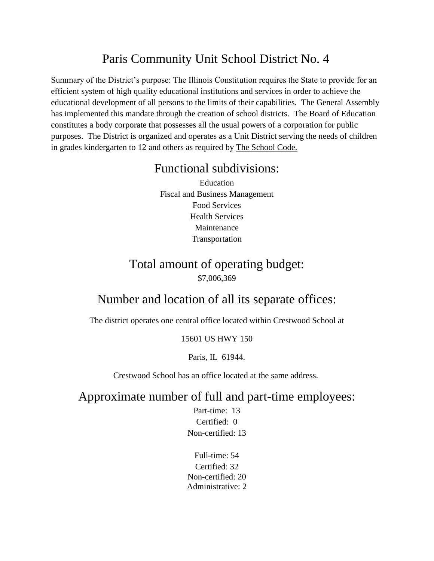# Paris Community Unit School District No. 4

Summary of the District's purpose: The Illinois Constitution requires the State to provide for an efficient system of high quality educational institutions and services in order to achieve the educational development of all persons to the limits of their capabilities. The General Assembly has implemented this mandate through the creation of school districts. The Board of Education constitutes a body corporate that possesses all the usual powers of a corporation for public purposes. The District is organized and operates as a Unit District serving the needs of children in grades kindergarten to 12 and others as required by The School Code.

#### Functional subdivisions:

Education Fiscal and Business Management Food Services Health Services Maintenance Transportation

### Total amount of operating budget: \$7,006,369

## Number and location of all its separate offices:

The district operates one central office located within Crestwood School at

#### 15601 US HWY 150

Paris, IL 61944.

Crestwood School has an office located at the same address.

Approximate number of full and part-time employees:

Part-time: 13 Certified: 0 Non-certified: 13

Full-time: 54 Certified: 32 Non-certified: 20 Administrative: 2